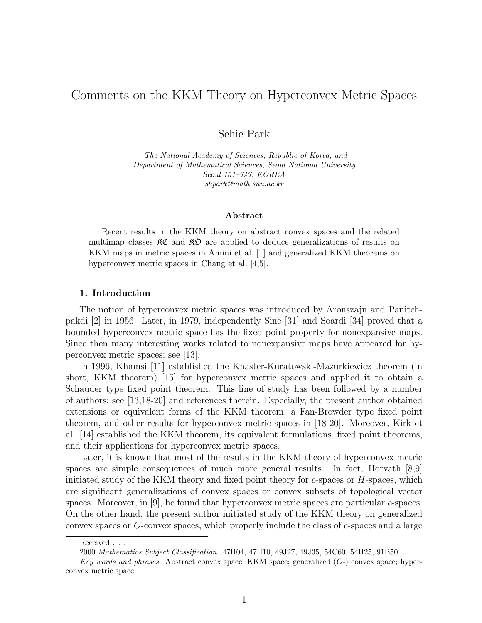# Comments on the KKM Theory on Hyperconvex Metric Spaces

Sehie Park

The National Academy of Sciences, Republic of Korea; and Department of Mathematical Sciences, Seoul National University Seoul 151–747, KOREA shpark@math.snu.ac.kr

#### Abstract

Recent results in the KKM theory on abstract convex spaces and the related multimap classes  $\mathcal{RC}$  and  $\mathcal{RD}$  are applied to deduce generalizations of results on KKM maps in metric spaces in Amini et al. [1] and generalized KKM theorems on hyperconvex metric spaces in Chang et al. [4,5].

#### 1. Introduction

The notion of hyperconvex metric spaces was introduced by Aronszajn and Panitchpakdi [2] in 1956. Later, in 1979, independently Sine [31] and Soardi [34] proved that a bounded hyperconvex metric space has the fixed point property for nonexpansive maps. Since then many interesting works related to nonexpansive maps have appeared for hyperconvex metric spaces; see [13].

In 1996, Khamsi [11] established the Knaster-Kuratowski-Mazurkiewicz theorem (in short, KKM theorem) [15] for hyperconvex metric spaces and applied it to obtain a Schauder type fixed point theorem. This line of study has been followed by a number of authors; see [13,18-20] and references therein. Especially, the present author obtained extensions or equivalent forms of the KKM theorem, a Fan-Browder type fixed point theorem, and other results for hyperconvex metric spaces in [18-20]. Moreover, Kirk et al. [14] established the KKM theorem, its equivalent formulations, fixed point theorems, and their applications for hyperconvex metric spaces.

Later, it is known that most of the results in the KKM theory of hyperconvex metric spaces are simple consequences of much more general results. In fact, Horvath [8,9] initiated study of the KKM theory and fixed point theory for  $c$ -spaces or  $H$ -spaces, which are significant generalizations of convex spaces or convex subsets of topological vector spaces. Moreover, in  $[9]$ , he found that hyperconvex metric spaces are particular c-spaces. On the other hand, the present author initiated study of the KKM theory on generalized convex spaces or  $G$ -convex spaces, which properly include the class of  $c$ -spaces and a large

Received . . .

<sup>2000</sup> Mathematics Subject Classification. 47H04, 47H10, 49J27, 49J35, 54C60, 54H25, 91B50.

Key words and phrases. Abstract convex space; KKM space; generalized  $(G<sub>-</sub>)$  convex space; hyperconvex metric space.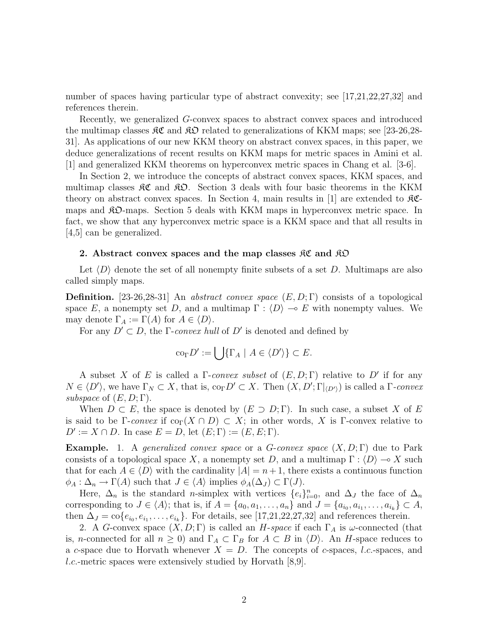number of spaces having particular type of abstract convexity; see [17,21,22,27,32] and references therein.

Recently, we generalized G-convex spaces to abstract convex spaces and introduced the multimap classes  $\mathcal{RC}$  and  $\mathcal{RD}$  related to generalizations of KKM maps; see [23-26,28-31]. As applications of our new KKM theory on abstract convex spaces, in this paper, we deduce generalizations of recent results on KKM maps for metric spaces in Amini et al. [1] and generalized KKM theorems on hyperconvex metric spaces in Chang et al. [3-6].

In Section 2, we introduce the concepts of abstract convex spaces, KKM spaces, and multimap classes  $\mathcal{RC}$  and  $\mathcal{RD}$ . Section 3 deals with four basic theorems in the KKM theory on abstract convex spaces. In Section 4, main results in [1] are extended to  $\Re \mathfrak{C}$ maps and  $\mathcal{R}D$ -maps. Section 5 deals with KKM maps in hyperconvex metric space. In fact, we show that any hyperconvex metric space is a KKM space and that all results in [4,5] can be generalized.

#### 2. Abstract convex spaces and the map classes RC and RO

Let  $\langle D \rangle$  denote the set of all nonempty finite subsets of a set D. Multimaps are also called simply maps.

**Definition.** [23-26,28-31] An *abstract convex space*  $(E, D; \Gamma)$  consists of a topological space E, a nonempty set D, and a multimap  $\Gamma : \langle D \rangle \to E$  with nonempty values. We may denote  $\Gamma_A := \Gamma(A)$  for  $A \in \langle D \rangle$ .

For any  $D' \subset D$ , the Γ-convex hull of D' is denoted and defined by

$$
co_{\Gamma} D' := \bigcup \{ \Gamma_A \mid A \in \langle D' \rangle \} \subset E.
$$

A subset X of E is called a  $\Gamma$ -convex subset of  $(E, D; \Gamma)$  relative to D' if for any  $N \in \langle D' \rangle$ , we have  $\Gamma_N \subset X$ , that is,  $\text{co}_{\Gamma} D' \subset X$ . Then  $(X, D'; \Gamma|_{\langle D' \rangle})$  is called a  $\Gamma$ -convex subspace of  $(E, D; \Gamma)$ .

When  $D \subset E$ , the space is denoted by  $(E \supset D; \Gamma)$ . In such case, a subset X of E is said to be Γ-convex if  $\text{co}_{\Gamma}(X \cap D) \subset X$ ; in other words, X is Γ-convex relative to  $D' := X \cap D$ . In case  $E = D$ , let  $(E; \Gamma) := (E, E; \Gamma)$ .

**Example.** 1. A generalized convex space or a  $G$ -convex space  $(X, D; \Gamma)$  due to Park consists of a topological space X, a nonempty set D, and a multimap  $\Gamma : \langle D \rangle \to X$  such that for each  $A \in \langle D \rangle$  with the cardinality  $|A| = n + 1$ , there exists a continuous function  $\phi_A : \Delta_n \to \Gamma(A)$  such that  $J \in \langle A \rangle$  implies  $\phi_A(\Delta_J) \subset \Gamma(J)$ .

Here,  $\Delta_n$  is the standard *n*-simplex with vertices  $\{e_i\}_{i=0}^n$ , and  $\Delta_j$  the face of  $\Delta_n$ corresponding to  $J \in \langle A \rangle$ ; that is, if  $A = \{a_0, a_1, \ldots, a_n\}$  and  $J = \{a_{i_0}, a_{i_1}, \ldots, a_{i_k}\} \subset A$ , then  $\Delta_J = \text{co}\{e_{i_0}, e_{i_1}, \dots, e_{i_k}\}.$  For details, see [17,21,22,27,32] and references therein.

2. A G-convex space  $(X, D; \Gamma)$  is called an H-space if each  $\Gamma_A$  is  $\omega$ -connected (that is, *n*-connected for all  $n \geq 0$ ) and  $\Gamma_A \subset \Gamma_B$  for  $A \subset B$  in  $\langle D \rangle$ . An *H*-space reduces to a c-space due to Horvath whenever  $X = D$ . The concepts of c-spaces, *l.c.*-spaces, and l.c.-metric spaces were extensively studied by Horvath [8,9].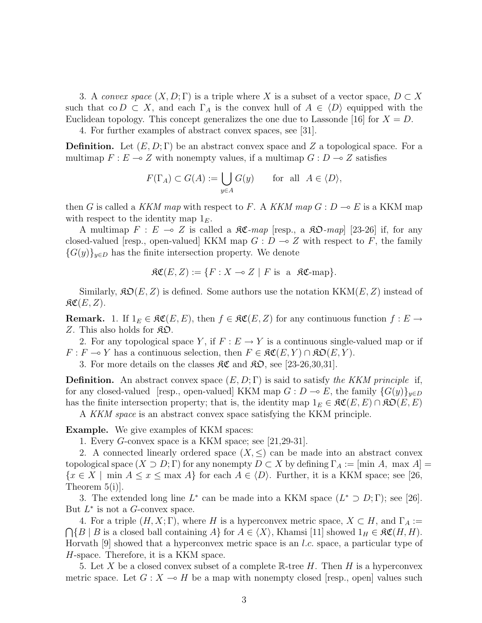3. A convex space  $(X, D; \Gamma)$  is a triple where X is a subset of a vector space,  $D \subset X$ such that  $\text{co } D \subset X$ , and each  $\Gamma_A$  is the convex hull of  $A \in \langle D \rangle$  equipped with the Euclidean topology. This concept generalizes the one due to Lassonde [16] for  $X = D$ .

4. For further examples of abstract convex spaces, see [31].

**Definition.** Let  $(E, D; \Gamma)$  be an abstract convex space and Z a topological space. For a multimap  $F : E \longrightarrow Z$  with nonempty values, if a multimap  $G : D \longrightarrow Z$  satisfies

$$
F(\Gamma_A) \subset G(A) := \bigcup_{y \in A} G(y) \quad \text{for all } A \in \langle D \rangle,
$$

then G is called a KKM map with respect to F. A KKM map  $G: D \to E$  is a KKM map with respect to the identity map  $1<sub>E</sub>$ .

A multimap  $F : E \to Z$  is called a  $\mathcal{RC}-map$  [resp., a  $\mathcal{RD}-map$ ] [23-26] if, for any closed-valued [resp., open-valued] KKM map  $G: D \to Z$  with respect to F, the family  ${G(y)}_{y\in D}$  has the finite intersection property. We denote

$$
\mathfrak{RC}(E,Z) := \{ F : X \multimap Z \mid F \text{ is a } \mathfrak{RC}\text{-map} \}.
$$

Similarly,  $\mathfrak{SO}(E,\mathbb{Z})$  is defined. Some authors use the notation  $KKM(E,\mathbb{Z})$  instead of  $\mathfrak{RC}(E,Z).$ 

**Remark.** 1. If  $1_E \in \mathfrak{RC}(E, E)$ , then  $f \in \mathfrak{RC}(E, Z)$  for any continuous function  $f : E \to$ Z. This also holds for  $\mathcal{R}\mathfrak{O}$ .

2. For any topological space Y, if  $F: E \to Y$  is a continuous single-valued map or if  $F : F \longrightarrow Y$  has a continuous selection, then  $F \in \mathcal{RC}(E, Y) \cap \mathcal{RD}(E, Y)$ .

3. For more details on the classes  $\mathcal{RC}$  and  $\mathcal{RD}$ , see [23-26,30,31].

**Definition.** An abstract convex space  $(E, D; \Gamma)$  is said to satisfy the KKM principle if, for any closed-valued [resp., open-valued] KKM map  $G: D \to E$ , the family  ${G(y)}_{y\in D}$ has the finite intersection property; that is, the identity map  $1_E \in \mathfrak{RC}(E, E) \cap \mathfrak{RO}(E, E)$ 

A KKM space is an abstract convex space satisfying the KKM principle.

Example. We give examples of KKM spaces:

1. Every G-convex space is a KKM space; see [21,29-31].

2. A connected linearly ordered space  $(X, \leq)$  can be made into an abstract convex topological space  $(X \supset D; \Gamma)$  for any nonempty  $D \subset X$  by defining  $\Gamma_A := [\min A, \max A] =$  $\{x \in X \mid \min A \le x \le \max A\}$  for each  $A \in \langle D \rangle$ . Further, it is a KKM space; see [26, Theorem 5(i)].

3. The extended long line  $L^*$  can be made into a KKM space  $(L^* \supset D; \Gamma)$ ; see [26]. But  $L^*$  is not a  $G$ -convex space.

4. For a triple  $(H, X; \Gamma)$ , where H is a hyperconvex metric space,  $X \subset H$ , and  $\Gamma_A :=$  $\overline{a}$  ${B | B$  is a closed ball containing A} for  $A \in \langle X \rangle$ , Khamsi [11] showed  $1_H \in \mathcal{RC}(H, H)$ . Horvath [9] showed that a hyperconvex metric space is an l.c. space, a particular type of H-space. Therefore, it is a KKM space.

5. Let X be a closed convex subset of a complete R-tree H. Then H is a hyperconvex metric space. Let  $G : X \to H$  be a map with nonempty closed [resp., open] values such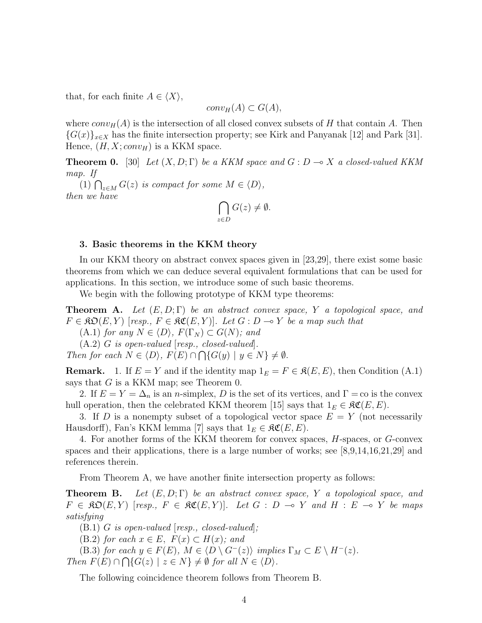that, for each finite  $A \in \langle X \rangle$ ,

$$
conv_H(A) \subset G(A),
$$

where  $conv<sub>H</sub>(A)$  is the intersection of all closed convex subsets of H that contain A. Then  ${G(x)}_{x\in X}$  has the finite intersection property; see Kirk and Panyanak [12] and Park [31]. Hence,  $(H, X; conv_H)$  is a KKM space.

**Theorem 0.** [30] Let  $(X, D; \Gamma)$  be a KKM space and  $G: D \to X$  a closed-valued KKM map. If

(1)  $\bigcap_{z \in M} G(z)$  is compact for some  $M \in \langle D \rangle$ , then we have  $\sim$ 

$$
\bigcap_{z \in D} G(z) \neq \emptyset.
$$

#### 3. Basic theorems in the KKM theory

In our KKM theory on abstract convex spaces given in [23,29], there exist some basic theorems from which we can deduce several equivalent formulations that can be used for applications. In this section, we introduce some of such basic theorems.

We begin with the following prototype of KKM type theorems:

**Theorem A.** Let  $(E, D; \Gamma)$  be an abstract convex space, Y a topological space, and  $F \in \mathfrak{RO}(E, Y)$  [resp.,  $F \in \mathfrak{RC}(E, Y)$ ]. Let  $G : D \to Y$  be a map such that

 $(A.1)$  for any  $N \in \langle D \rangle$ ,  $F(\Gamma_N) \subset G(N)$ ; and

 $(A.2)$  G is open-valued [resp., closed-valued].

Then for each  $N \in \langle D \rangle$ ,  $F(E) \cap \bigcap \{G(y) \mid y \in N\} \neq \emptyset$ .

**Remark.** 1. If  $E = Y$  and if the identity map  $1_E = F \in \mathcal{R}(E, E)$ , then Condition (A.1) says that G is a KKM map; see Theorem 0.

2. If  $E = Y = \Delta_n$  is an *n*-simplex, D is the set of its vertices, and  $\Gamma = \infty$  is the convex hull operation, then the celebrated KKM theorem [15] says that  $1_E \in \mathfrak{RC}(E, E)$ .

3. If D is a nonempty subset of a topological vector space  $E = Y$  (not necessarily Hausdorff), Fan's KKM lemma [7] says that  $1_E \in \mathcal{RC}(E, E)$ .

4. For another forms of the KKM theorem for convex spaces, H-spaces, or G-convex spaces and their applications, there is a large number of works; see [8,9,14,16,21,29] and references therein.

From Theorem A, we have another finite intersection property as follows:

**Theorem B.** Let  $(E, D; \Gamma)$  be an abstract convex space, Y a topological space, and  $F \in \mathfrak{SO}(E, Y)$  [resp.,  $F \in \mathfrak{SC}(E, Y)$ ]. Let  $G : D \multimap Y$  and  $H : E \multimap Y$  be maps satisfying

 $(B.1)$  G is open-valued  $[resp., closed-valued]$ ;

(B.2) for each  $x \in E$ ,  $F(x) \subset H(x)$ ; and

(B.3) for each 
$$
y \in F(E)
$$
,  $M \in \langle D \setminus G^{-}(z) \rangle$  implies  $\Gamma_M \subset E \setminus H^{-}(z)$ .

Then  $F(E) \cap$  $\{G(z) \mid z \in N\} \neq \emptyset$  for all  $N \in \langle D \rangle$ .

The following coincidence theorem follows from Theorem B.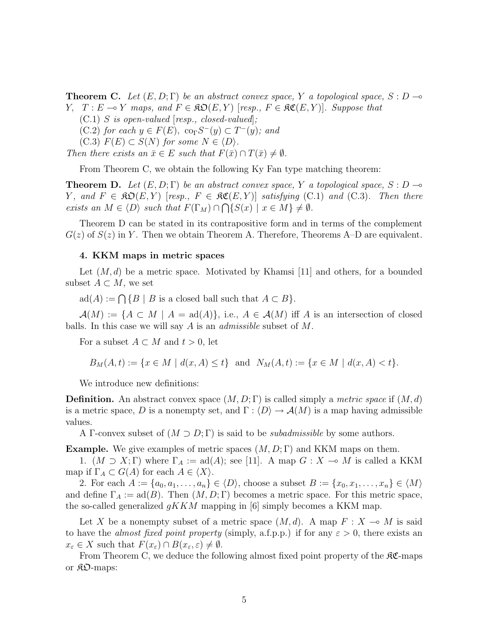**Theorem C.** Let  $(E, D; \Gamma)$  be an abstract convex space, Y a topological space, S : D  $\rightarrow$  $Y$ ,  $T : E \rightarrow Y$  maps, and  $F \in \mathfrak{RO}(E, Y)$  [resp.,  $F \in \mathfrak{RC}(E, Y)$ ]. Suppose that

 $(C.1)$  S is open-valued [resp., closed-valued];

(C.2) for each  $y \in F(E)$ ,  $\text{co}_{\Gamma}S^{-}(y) \subset T^{-}(y)$ ; and

(C.3)  $F(E) \subset S(N)$  for some  $N \in \langle D \rangle$ .

Then there exists an  $\bar{x} \in E$  such that  $F(\bar{x}) \cap T(\bar{x}) \neq \emptyset$ .

From Theorem C, we obtain the following Ky Fan type matching theorem:

**Theorem D.** Let  $(E, D; \Gamma)$  be an abstract convex space, Y a topological space, S : D  $\rightarrow$ Y, and  $F \in \mathfrak{SO}(E, Y)$  [resp.,  $F \in \mathfrak{RC}(E, Y)$ ] satisfying (C.1) and (C.3). Then there exists an  $M \in \langle D \rangle$  such that  $F(\Gamma_M) \cap \bigcap \{ S(x) \mid x \in M \} \neq \emptyset$ .

Theorem D can be stated in its contrapositive form and in terms of the complement  $G(z)$  of  $S(z)$  in Y. Then we obtain Theorem A. Therefore, Theorems A–D are equivalent.

## 4. KKM maps in metric spaces

Let  $(M, d)$  be a metric space. Motivated by Khamsi [11] and others, for a bounded subset  $A \subset M$ , we set

 $ad(A) := \bigcap \{B \mid B \text{ is a closed ball such that } A \subset B\}.$ 

 $\mathcal{A}(M) := \{A \subset M \mid A = \text{ad}(A)\}, \text{ i.e., } A \in \mathcal{A}(M) \text{ iff } A \text{ is an intersection of closed }$ balls. In this case we will say A is an *admissible* subset of  $M$ .

For a subset  $A \subset M$  and  $t > 0$ , let

$$
B_M(A, t) := \{ x \in M \mid d(x, A) \le t \} \text{ and } N_M(A, t) := \{ x \in M \mid d(x, A) < t \}.
$$

We introduce new definitions:

**Definition.** An abstract convex space  $(M, D; \Gamma)$  is called simply a *metric space* if  $(M, d)$ is a metric space, D is a nonempty set, and  $\Gamma : \langle D \rangle \to \mathcal{A}(M)$  is a map having admissible values.

A Γ-convex subset of  $(M \supset D; \Gamma)$  is said to be *subadmissible* by some authors.

**Example.** We give examples of metric spaces  $(M, D; \Gamma)$  and KKM maps on them.

1.  $(M \supset X; \Gamma)$  where  $\Gamma_A := \text{ad}(A)$ ; see [11]. A map  $G : X \to M$  is called a KKM map if  $\Gamma_A \subset G(A)$  for each  $A \in \langle X \rangle$ .

2. For each  $A := \{a_0, a_1, \ldots, a_n\} \in \langle D \rangle$ , choose a subset  $B := \{x_0, x_1, \ldots, x_n\} \in \langle M \rangle$ and define  $\Gamma_A := \text{ad}(B)$ . Then  $(M, D; \Gamma)$  becomes a metric space. For this metric space, the so-called generalized  $qKKM$  mapping in [6] simply becomes a KKM map.

Let X be a nonempty subset of a metric space  $(M, d)$ . A map  $F : X \longrightarrow M$  is said to have the *almost fixed point property* (simply, a.f.p.p.) if for any  $\varepsilon > 0$ , there exists an  $x_{\varepsilon} \in X$  such that  $F(x_{\varepsilon}) \cap B(x_{\varepsilon}, \varepsilon) \neq \emptyset$ .

From Theorem C, we deduce the following almost fixed point property of the  $\mathcal{RC}$ -maps or  $\mathfrak{K}\mathfrak{O}$ -maps: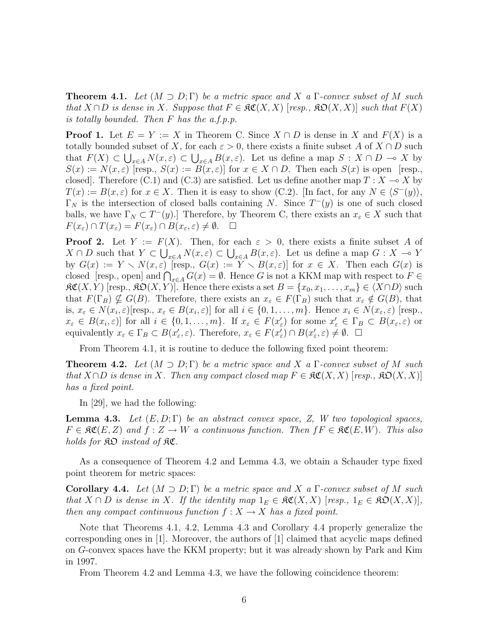**Theorem 4.1.** Let  $(M \supset D; \Gamma)$  be a metric space and X a  $\Gamma$ -convex subset of M such that  $X \cap D$  is dense in X. Suppose that  $F \in \mathfrak{RC}(X,X)$  [resp.,  $\mathfrak{RO}(X,X)$ ] such that  $F(X)$ is totally bounded. Then F has the a.f.p.p.

**Proof 1.** Let  $E = Y := X$  in Theorem C. Since  $X \cap D$  is dense in X and  $F(X)$  is a totally bounded subset of X, for each  $\varepsilon > 0$ , there exists a finite subset A of  $X \cap D$  such that  $F(X) \subset \bigcup_{x \in A} N(x, \varepsilon) \subset \bigcup_{x \in A} B(x, \varepsilon)$ . Let us define a map  $S : X \cap D \to X$  by  $S(x) := N(x, \varepsilon)$  [resp.,  $S(x) := B(x, \varepsilon)$ ] for  $x \in X \cap D$ . Then each  $S(x)$  is open [resp., closed. Therefore (C.1) and (C.3) are satisfied. Let us define another map  $T : X \to X$  by  $T(x) := B(x, \varepsilon)$  for  $x \in X$ . Then it is easy to show (C.2). [In fact, for any  $N \in \langle S^-(y) \rangle$ ,  $\Gamma_N$  is the intersection of closed balls containing N. Since  $T^-(y)$  is one of such closed balls, we have  $\Gamma_N \subset T^-(y)$ . Therefore, by Theorem C, there exists an  $x_\varepsilon \in X$  such that  $F(x_{\varepsilon}) \cap T(x_{\varepsilon}) = F(x_{\varepsilon}) \cap B(x_{\varepsilon}, \varepsilon) \neq \emptyset. \quad \Box$ 

**Proof 2.** Let  $Y := F(X)$ . Then, for each  $\varepsilon > 0$ , there exists a finite subset A of  $X \cap D$  such that  $Y \subset \bigcup_{x \in A} N(x, \varepsilon) \subset \bigcup_{x \in A} B(x, \varepsilon)$ . Let us define a map  $G : X \to Y$ by  $G(x) := Y \setminus N(x, \varepsilon)$  [resp.,  $G(x) := Y \setminus B(x, \varepsilon)$ ] for  $x \in X$ . Then each  $G(x)$  is by  $G(x) := Y \setminus N(x, \varepsilon)$  [resp.,  $G(x) := Y \setminus D(x, \varepsilon)$ ] for  $x \in X$ . Then each  $G(x)$  is closed [resp., open] and  $\bigcap_{x \in A} G(x) = \emptyset$ . Hence G is not a KKM map with respect to  $F \in$  $\mathfrak{RC}(X, Y)$  [resp.,  $\mathfrak{RO}(X, Y)$ ]. Hence there exists a set  $B = \{x_0, x_1, \ldots, x_m\} \in \langle X \cap D \rangle$  such that  $F(\Gamma_B) \nsubseteq G(B)$ . Therefore, there exists an  $x_\varepsilon \in F(\Gamma_B)$  such that  $x_\varepsilon \notin G(B)$ , that is,  $x_{\varepsilon} \in N(x_i, \varepsilon)$ [resp.,  $x_{\varepsilon} \in B(x_i, \varepsilon)$ ] for all  $i \in \{0, 1, \ldots, m\}$ . Hence  $x_i \in N(x_{\varepsilon}, \varepsilon)$  [resp.,  $x_{\varepsilon} \in B(x_i, \varepsilon)$  for all  $i \in \{0, 1, \ldots, m\}$ . If  $x_{\varepsilon} \in F(x_{\varepsilon}')$  for some  $x_{\varepsilon}' \in \Gamma_B \subset B(x_{\varepsilon}, \varepsilon)$  or equivalently  $x_{\varepsilon} \in \Gamma_B \subset B(x'_{\varepsilon}, \varepsilon)$ . Therefore,  $x_{\varepsilon} \in F(x'_{\varepsilon}) \cap B(x'_{\varepsilon}, \varepsilon) \neq \emptyset$ .  $\Box$ 

From Theorem 4.1, it is routine to deduce the following fixed point theorem:

**Theorem 4.2.** Let  $(M \supset D; \Gamma)$  be a metric space and X a  $\Gamma$ -convex subset of M such that  $X \cap D$  is dense in X. Then any compact closed map  $F \in \mathfrak{RC}(X,X)$  [resp.,  $\mathfrak{SO}(X,X)$ ] has a fixed point.

In [29], we had the following:

**Lemma 4.3.** Let  $(E, D; \Gamma)$  be an abstract convex space, Z, W two topological spaces,  $F \in \mathfrak{RC}(E, Z)$  and  $f : Z \to W$  a continuous function. Then  $fF \in \mathfrak{RC}(E, W)$ . This also holds for  $\mathcal{R} \mathfrak{O}$  instead of  $\mathcal{R} \mathfrak{C}$ .

As a consequence of Theorem 4.2 and Lemma 4.3, we obtain a Schauder type fixed point theorem for metric spaces:

**Corollary 4.4.** Let  $(M \supset D; \Gamma)$  be a metric space and X a  $\Gamma$ -convex subset of M such that  $X \cap D$  is dense in X. If the identity map  $1_E \in \mathfrak{RC}(X,X)$  [resp.,  $1_E \in \mathfrak{RD}(X,X)$ ], then any compact continuous function  $f: X \to X$  has a fixed point.

Note that Theorems 4.1, 4.2, Lemma 4.3 and Corollary 4.4 properly generalize the corresponding ones in [1]. Moreover, the authors of [1] claimed that acyclic maps defined on G-convex spaces have the KKM property; but it was already shown by Park and Kim in 1997.

From Theorem 4.2 and Lemma 4.3, we have the following coincidence theorem: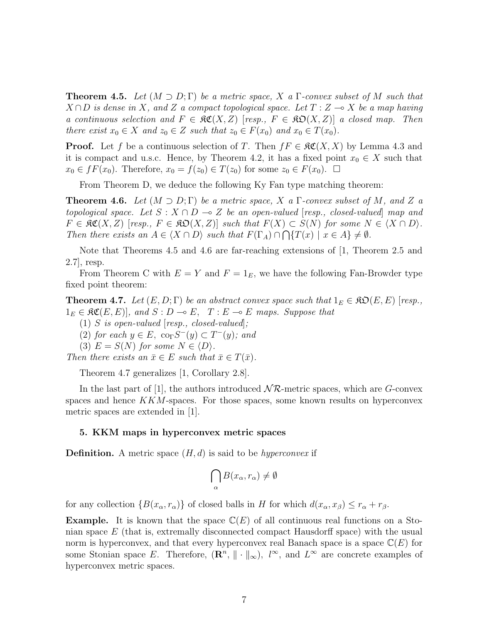**Theorem 4.5.** Let  $(M \supset D; \Gamma)$  be a metric space, X a  $\Gamma$ -convex subset of M such that  $X \cap D$  is dense in X, and Z a compact topological space. Let  $T : Z \longrightarrow X$  be a map having a continuous selection and  $F \in \mathfrak{RC}(X,Z)$  [resp.,  $F \in \mathfrak{RD}(X,Z)$ ] a closed map. Then there exist  $x_0 \in X$  and  $z_0 \in Z$  such that  $z_0 \in F(x_0)$  and  $x_0 \in T(x_0)$ .

**Proof.** Let f be a continuous selection of T. Then  $fF \in \mathcal{RC}(X,X)$  by Lemma 4.3 and it is compact and u.s.c. Hence, by Theorem 4.2, it has a fixed point  $x_0 \in X$  such that  $x_0 \in fF(x_0)$ . Therefore,  $x_0 = f(z_0) \in T(z_0)$  for some  $z_0 \in F(x_0)$ .  $\Box$ 

From Theorem D, we deduce the following Ky Fan type matching theorem:

**Theorem 4.6.** Let  $(M \supset D; \Gamma)$  be a metric space, X a  $\Gamma$ -convex subset of M, and Z a topological space. Let  $S : X \cap D \multimap Z$  be an open-valued [resp., closed-valued] map and  $F \in \mathfrak{RC}(X,Z)$  [resp.,  $F \in \mathfrak{RO}(X,Z)$ ] such that  $F(X) \subset S(N)$  for some  $N \in \langle X \cap D \rangle$ . Then there exists an  $A \in \langle X \cap D \rangle$  such that  $F(\Gamma_A) \cap \bigcap \{T(x) \mid x \in A\} \neq \emptyset$ .

Note that Theorems 4.5 and 4.6 are far-reaching extensions of [1, Theorem 2.5 and 2.7], resp.

From Theorem C with  $E = Y$  and  $F = 1_E$ , we have the following Fan-Browder type fixed point theorem:

**Theorem 4.7.** Let  $(E, D; \Gamma)$  be an abstract convex space such that  $1_E \in \mathcal{RO}(E, E)$  [resp.,  $1_E \in \mathfrak{RC}(E, E)$ , and  $S : D \multimap E$ ,  $T : E \multimap E$  maps. Suppose that

- (1) S is open-valued [resp., closed-valued];
- (2) for each  $y \in E$ ,  $\operatorname{co}_{\Gamma} S^{-}(y) \subset T^{-}(y)$ ; and
- (3)  $E = S(N)$  for some  $N \in \langle D \rangle$ .

Then there exists an  $\bar{x} \in E$  such that  $\bar{x} \in T(\bar{x})$ .

Theorem 4.7 generalizes [1, Corollary 2.8].

In the last part of [1], the authors introduced  $N\mathcal{R}$ -metric spaces, which are G-convex spaces and hence  $KKM$ -spaces. For those spaces, some known results on hyperconvex metric spaces are extended in [1].

## 5. KKM maps in hyperconvex metric spaces

**Definition.** A metric space  $(H, d)$  is said to be *hyperconvex* if

$$
\bigcap_{\alpha} B(x_{\alpha}, r_{\alpha}) \neq \emptyset
$$

for any collection  $\{B(x_{\alpha}, r_{\alpha})\}$  of closed balls in H for which  $d(x_{\alpha}, x_{\beta}) \leq r_{\alpha} + r_{\beta}$ .

**Example.** It is known that the space  $\mathbb{C}(E)$  of all continuous real functions on a Stonian space E (that is, extremally disconnected compact Hausdorff space) with the usual norm is hyperconvex, and that every hyperconvex real Banach space is a space  $\mathbb{C}(E)$  for some Stonian space E. Therefore,  $(\mathbb{R}^n, \| \cdot \|_{\infty})$ ,  $l^{\infty}$ , and  $L^{\infty}$  are concrete examples of hyperconvex metric spaces.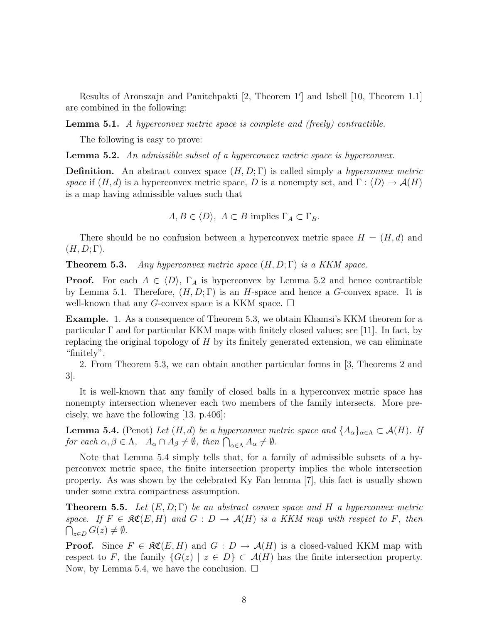Results of Aronszajn and Panitchpakti [2, Theorem 1'] and Isbell [10, Theorem 1.1] are combined in the following:

**Lemma 5.1.** A hyperconvex metric space is complete and (freely) contractible.

The following is easy to prove:

**Lemma 5.2.** An admissible subset of a hyperconvex metric space is hyperconvex.

**Definition.** An abstract convex space  $(H, D; \Gamma)$  is called simply a *hyperconvex metric* space if  $(H, d)$  is a hyperconvex metric space, D is a nonempty set, and  $\Gamma : \langle D \rangle \to \mathcal{A}(H)$ is a map having admissible values such that

 $A, B \in \langle D \rangle$ ,  $A \subset B$  implies  $\Gamma_A \subset \Gamma_B$ .

There should be no confusion between a hyperconvex metric space  $H = (H, d)$  and  $(H, D; \Gamma).$ 

**Theorem 5.3.** Any hyperconvex metric space  $(H, D; \Gamma)$  is a KKM space.

**Proof.** For each  $A \in \langle D \rangle$ ,  $\Gamma_A$  is hyperconvex by Lemma 5.2 and hence contractible by Lemma 5.1. Therefore,  $(H, D; \Gamma)$  is an H-space and hence a G-convex space. It is well-known that any G-convex space is a KKM space.  $\Box$ 

Example. 1. As a consequence of Theorem 5.3, we obtain Khamsi's KKM theorem for a particular  $\Gamma$  and for particular KKM maps with finitely closed values; see [11]. In fact, by replacing the original topology of  $H$  by its finitely generated extension, we can eliminate "finitely".

2. From Theorem 5.3, we can obtain another particular forms in [3, Theorems 2 and 3].

It is well-known that any family of closed balls in a hyperconvex metric space has nonempty intersection whenever each two members of the family intersects. More precisely, we have the following [13, p.406]:

**Lemma 5.4.** (Penot) Let  $(H, d)$  be a hyperconvex metric space and  $\{A_{\alpha}\}_{{\alpha}\in{\Lambda}}\subset{\mathcal{A}}(H)$ . If **Lemma 5.4.** (Fenot) Let  $(A, a)$  be a hyperconvex m<br>for each  $\alpha, \beta \in \Lambda$ ,  $A_{\alpha} \cap A_{\beta} \neq \emptyset$ , then  $\bigcap_{\alpha \in \Lambda} A_{\alpha} \neq \emptyset$ .

Note that Lemma 5.4 simply tells that, for a family of admissible subsets of a hyperconvex metric space, the finite intersection property implies the whole intersection property. As was shown by the celebrated Ky Fan lemma [7], this fact is usually shown under some extra compactness assumption.

**Theorem 5.5.** Let  $(E, D; \Gamma)$  be an abstract convex space and H a hyperconvex metric space. If  $F \in \mathfrak{RC}(E,H)$  and  $G : D \to \mathcal{A}(H)$  is a KKM map with respect to F, then  $\bigcap_{z\in D} G(z)\neq \emptyset$ .

**Proof.** Since  $F \in \mathcal{RC}(E, H)$  and  $G : D \to \mathcal{A}(H)$  is a closed-valued KKM map with respect to F, the family  $\{G(z) \mid z \in D\} \subset \mathcal{A}(H)$  has the finite intersection property. Now, by Lemma 5.4, we have the conclusion.  $\Box$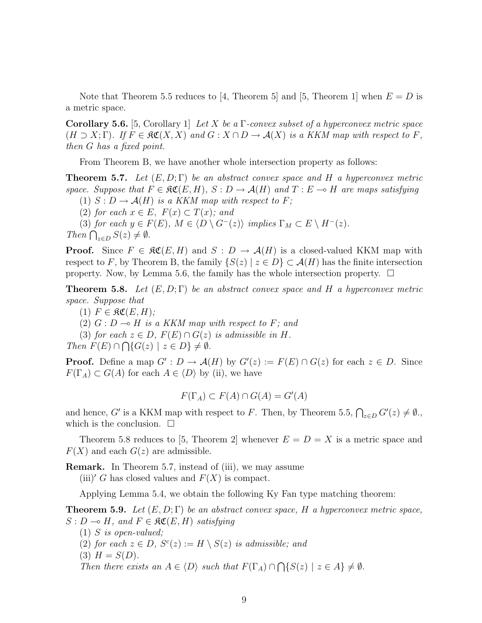Note that Theorem 5.5 reduces to [4, Theorem 5] and [5, Theorem 1] when  $E = D$  is a metric space.

**Corollary 5.6.** [5, Corollary 1] Let X be a  $\Gamma$ -convex subset of a hyperconvex metric space  $(H \supset X; \Gamma)$ . If  $F \in \mathfrak{RC}(X, X)$  and  $G : X \cap D \to \mathcal{A}(X)$  is a KKM map with respect to F, then G has a fixed point.

From Theorem B, we have another whole intersection property as follows:

**Theorem 5.7.** Let  $(E, D; \Gamma)$  be an abstract convex space and H a hyperconvex metric space. Suppose that  $F \in \mathfrak{RC}(E,H)$ ,  $S : D \to \mathcal{A}(H)$  and  $T : E \multimap H$  are maps satisfying

(1)  $S: D \to \mathcal{A}(H)$  is a KKM map with respect to F;

(2) for each  $x \in E$ ,  $F(x) \subset T(x)$ ; and

(3) for each  $y \in F(E)$ ,  $M \in \langle D \setminus G^{-}(z) \rangle$  implies  $\Gamma_M \subset E \setminus H^{-}(z)$ . (3) for each  $y \in F$ <br>Then  $\bigcap_{z \in D} S(z) \neq \emptyset$ .

**Proof.** Since  $F \in \mathcal{RC}(E,H)$  and  $S : D \to \mathcal{A}(H)$  is a closed-valued KKM map with respect to F, by Theorem B, the family  $\{S(z) | z \in D\} \subset \mathcal{A}(H)$  has the finite intersection property. Now, by Lemma 5.6, the family has the whole intersection property.  $\Box$ 

**Theorem 5.8.** Let  $(E, D; \Gamma)$  be an abstract convex space and H a hyperconvex metric space. Suppose that

- $(1)$   $F \in \mathfrak{RC}(E,H);$
- $(2)$   $G : D \rightarrow H$  is a KKM map with respect to F; and
- (3) for each  $z \in D$ ,  $F(E) \cap G(z)$  is admissible in H.

Then  $F(E) \cap \bigcap \{G(z) \mid z \in D\} \neq \emptyset$ .

**Proof.** Define a map  $G' : D \to \mathcal{A}(H)$  by  $G'(z) := F(E) \cap G(z)$  for each  $z \in D$ . Since  $F(\Gamma_A) \subset G(A)$  for each  $A \in \langle D \rangle$  by (ii), we have

$$
F(\Gamma_A) \subset F(A) \cap G(A) = G'(A)
$$

and hence, G' is a KKM map with respect to F. Then, by Theorem 5.5,  $\bigcap_{z\in D} G'(z) \neq \emptyset$ . which is the conclusion.  $\Box$ 

Theorem 5.8 reduces to [5, Theorem 2] whenever  $E = D = X$  is a metric space and  $F(X)$  and each  $G(z)$  are admissible.

Remark. In Theorem 5.7, instead of (iii), we may assume

(iii)' G has closed values and  $F(X)$  is compact.

Applying Lemma 5.4, we obtain the following Ky Fan type matching theorem:

**Theorem 5.9.** Let  $(E, D; \Gamma)$  be an abstract convex space, H a hyperconvex metric space,  $S : D \multimap H$ , and  $F \in \mathfrak{RC}(E, H)$  satisfying

- $(1)$  S is open-valued;
- (2) for each  $z \in D$ ,  $S<sup>c</sup>(z) := H \setminus S(z)$  is admissible; and
- (3)  $H = S(D)$ .

Then there exists an  $A \in \langle D \rangle$  such that  $F(\Gamma_A) \cap$  $\overline{a}$  $\{S(z) \mid z \in A\} \neq \emptyset.$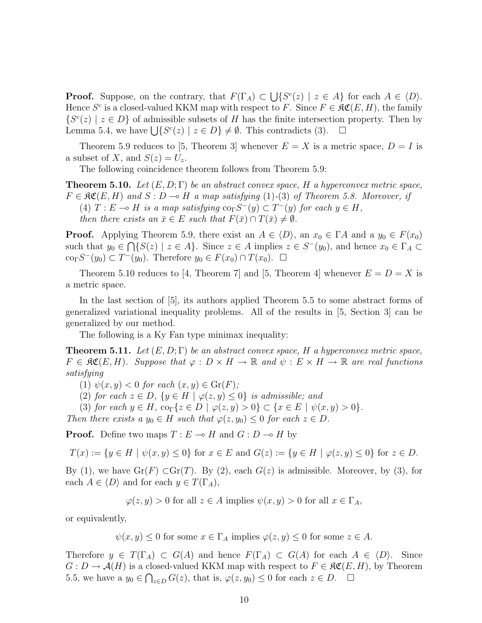**Proof.** Suppose, on the contrary, that  $F(\Gamma_A) \subset$ S  $\{S^c(z) \mid z \in A\}$  for each  $A \in \langle D \rangle$ . Hence  $S^c$  is a closed-valued KKM map with respect to F. Since  $F \in \mathcal{RC}(E,H)$ , the family  $\{S^c(z) \mid z \in D\}$  of admissible subsets of H has the finite intersection property. Then by  $\{S^{\alpha}(z) \mid z \in D\}$  or admissible subsets of H has the limite intersection<br>Lemma 5.4, we have  $\bigcup \{S^c(z) \mid z \in D\} \neq \emptyset$ . This contradicts (3).

Theorem 5.9 reduces to [5, Theorem 3] whenever  $E = X$  is a metric space,  $D = I$  is a subset of X, and  $S(z) = U_z$ .

The following coincidence theorem follows from Theorem 5.9:

**Theorem 5.10.** Let  $(E, D; \Gamma)$  be an abstract convex space, H a hyperconvex metric space,  $F \in \mathfrak{RC}(E, H)$  and  $S : D \multimap H$  a map satisfying (1)-(3) of Theorem 5.8. Moreover, if (4)  $T: E \to H$  is a map satisfying  $\text{co}_{\Gamma} S^{-}(y) \subset T^{-}(y)$  for each  $y \in H$ , then there exists an  $\bar{x} \in E$  such that  $F(\bar{x}) \cap T(\bar{x}) \neq \emptyset$ .

**Proof.** Applying Theorem 5.9, there exist an  $A \in \langle D \rangle$ , an  $x_0 \in \Gamma A$  and a  $y_0 \in F(x_0)$ such that  $y_0 \in \bigcap \{ S(z) \mid z \in A \}.$  Since  $z \in A$  implies  $z \in S^{-}(y_0)$ , and hence  $x_0 \in \Gamma_A \subset$  $\operatorname{co}_{\Gamma} S^{-}(y_0) \subset T^{-}(y_0)$ . Therefore  $y_0 \in F(x_0) \cap T(x_0)$ .  $\Box$ 

Theorem 5.10 reduces to [4, Theorem 7] and [5, Theorem 4] whenever  $E = D = X$  is a metric space.

In the last section of [5], its authors applied Theorem 5.5 to some abstract forms of generalized variational inequality problems. All of the results in [5, Section 3] can be generalized by our method.

The following is a Ky Fan type minimax inequality:

**Theorem 5.11.** Let  $(E, D; \Gamma)$  be an abstract convex space, H a hyperconvex metric space,  $F \in \mathfrak{SC}(E,H)$ . Suppose that  $\varphi : D \times H \to \mathbb{R}$  and  $\psi : E \times H \to \mathbb{R}$  are real functions satisfying

(1)  $\psi(x, y) < 0$  for each  $(x, y) \in \text{Gr}(F)$ ;

(2) for each  $z \in D$ ,  $\{y \in H \mid \varphi(z, y) \leq 0\}$  is admissible; and

(3) for each  $y \in H$ ,  $\text{co}_{\Gamma} \{z \in D \mid \varphi(z, y) > 0\} \subset \{x \in E \mid \psi(x, y) > 0\}.$ 

Then there exists a  $y_0 \in H$  such that  $\varphi(z, y_0) \leq 0$  for each  $z \in D$ .

**Proof.** Define two maps  $T : E \multimap H$  and  $G : D \multimap H$  by

 $T(x) := \{y \in H \mid \psi(x, y) \leq 0\}$  for  $x \in E$  and  $G(z) := \{y \in H \mid \varphi(z, y) \leq 0\}$  for  $z \in D$ .

By (1), we have  $\text{Gr}(F) \subset \text{Gr}(T)$ . By (2), each  $G(z)$  is admissible. Moreover, by (3), for each  $A \in \langle D \rangle$  and for each  $y \in T(\Gamma_A)$ ,

 $\varphi(z, y) > 0$  for all  $z \in A$  implies  $\psi(x, y) > 0$  for all  $x \in \Gamma_A$ ,

or equivalently,

 $\psi(x, y) \leq 0$  for some  $x \in \Gamma_A$  implies  $\varphi(z, y) \leq 0$  for some  $z \in A$ .

Therefore  $y \in T(\Gamma_A) \subset G(A)$  and hence  $F(\Gamma_A) \subset G(A)$  for each  $A \in \langle D \rangle$ . Since  $G: D \to \mathcal{A}(H)$  is a closed-valued KKM map with respect to  $F \in \mathfrak{SC}(E, H)$ , by Theorem 5.5, we have a  $y_0 \in \bigcap_{z \in D} G(z)$ , that is,  $\varphi(z, y_0) \leq 0$  for each  $z \in D$ .  $\Box$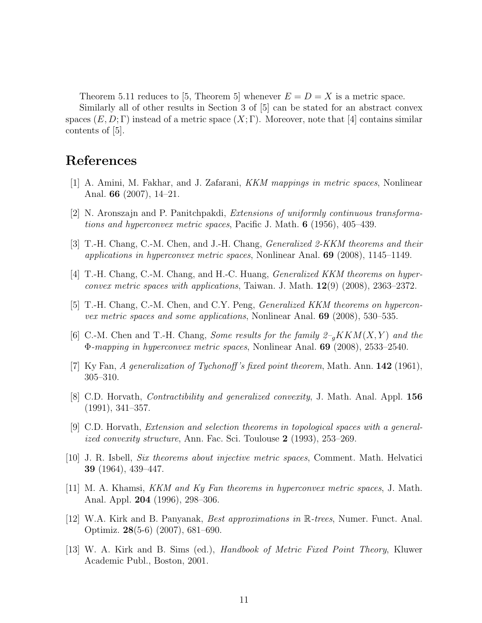Theorem 5.11 reduces to [5, Theorem 5] whenever  $E = D = X$  is a metric space. Similarly all of other results in Section 3 of [5] can be stated for an abstract convex spaces  $(E, D; \Gamma)$  instead of a metric space  $(X; \Gamma)$ . Moreover, note that [4] contains similar contents of [5].

# References

- [1] A. Amini, M. Fakhar, and J. Zafarani, KKM mappings in metric spaces, Nonlinear Anal. 66 (2007), 14–21.
- [2] N. Aronszajn and P. Panitchpakdi, Extensions of uniformly continuous transformations and hyperconvex metric spaces, Pacific J. Math.  $6$  (1956), 405–439.
- [3] T.-H. Chang, C.-M. Chen, and J.-H. Chang, *Generalized 2-KKM theorems and their* applications in hyperconvex metric spaces, Nonlinear Anal. 69 (2008), 1145–1149.
- [4] T.-H. Chang, C.-M. Chang, and H.-C. Huang, Generalized KKM theorems on hyper*convex metric spaces with applications*, Taiwan. J. Math.  $12(9)$  (2008), 2363–2372.
- [5] T.-H. Chang, C.-M. Chen, and C.Y. Peng, Generalized KKM theorems on hyperconvex metric spaces and some applications, Nonlinear Anal. 69 (2008), 530–535.
- [6] C.-M. Chen and T.-H. Chang, *Some results for the family*  $2\text{--}_q KKM(X,Y)$  and the Φ-mapping in hyperconvex metric spaces, Nonlinear Anal. 69 (2008), 2533–2540.
- [7] Ky Fan, A generalization of Tychonoff 's fixed point theorem, Math. Ann. 142 (1961), 305–310.
- [8] C.D. Horvath, Contractibility and generalized convexity, J. Math. Anal. Appl. 156 (1991), 341–357.
- [9] C.D. Horvath, Extension and selection theorems in topological spaces with a generalized convexity structure, Ann. Fac. Sci. Toulouse 2 (1993), 253–269.
- [10] J. R. Isbell, Six theorems about injective metric spaces, Comment. Math. Helvatici 39 (1964), 439–447.
- [11] M. A. Khamsi, KKM and Ky Fan theorems in hyperconvex metric spaces, J. Math. Anal. Appl. 204 (1996), 298–306.
- [12] W.A. Kirk and B. Panyanak, Best approximations in R-trees, Numer. Funct. Anal. Optimiz. 28(5-6) (2007), 681–690.
- [13] W. A. Kirk and B. Sims (ed.), Handbook of Metric Fixed Point Theory, Kluwer Academic Publ., Boston, 2001.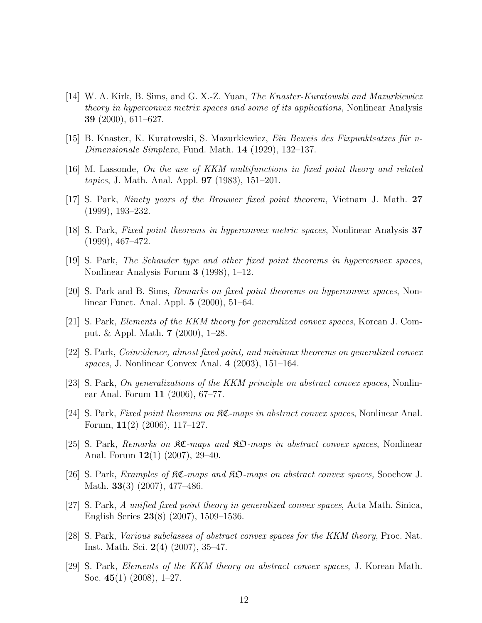- [14] W. A. Kirk, B. Sims, and G. X.-Z. Yuan, The Knaster-Kuratowski and Mazurkiewicz theory in hyperconvex metrix spaces and some of its applications, Nonlinear Analysis 39 (2000), 611–627.
- $[15]$  B. Knaster, K. Kuratowski, S. Mazurkiewicz, *Ein Beweis des Fixpunktsatzes für n*-Dimensionale Simplexe, Fund. Math. 14 (1929), 132–137.
- [16] M. Lassonde, On the use of KKM multifunctions in fixed point theory and related topics, J. Math. Anal. Appl. 97 (1983), 151–201.
- [17] S. Park, Ninety years of the Brouwer fixed point theorem, Vietnam J. Math. 27 (1999), 193–232.
- [18] S. Park, Fixed point theorems in hyperconvex metric spaces, Nonlinear Analysis 37 (1999), 467–472.
- [19] S. Park, The Schauder type and other fixed point theorems in hyperconvex spaces, Nonlinear Analysis Forum 3 (1998), 1–12.
- [20] S. Park and B. Sims, Remarks on fixed point theorems on hyperconvex spaces, Nonlinear Funct. Anal. Appl. 5 (2000), 51–64.
- [21] S. Park, Elements of the KKM theory for generalized convex spaces, Korean J. Comput. & Appl. Math. 7 (2000), 1–28.
- [22] S. Park, Coincidence, almost fixed point, and minimax theorems on generalized convex spaces, J. Nonlinear Convex Anal. 4 (2003), 151–164.
- [23] S. Park, On generalizations of the KKM principle on abstract convex spaces, Nonlinear Anal. Forum 11 (2006), 67–77.
- [24] S. Park, Fixed point theorems on KC-maps in abstract convex spaces, Nonlinear Anal. Forum, 11(2) (2006), 117–127.
- [25] S. Park, Remarks on  $\mathfrak{K}C$ -maps and  $\mathfrak{K}D$ -maps in abstract convex spaces, Nonlinear Anal. Forum 12(1) (2007), 29–40.
- [26] S. Park, Examples of KC-maps and KO-maps on abstract convex spaces, Soochow J. Math. 33(3) (2007), 477–486.
- [27] S. Park, A unified fixed point theory in generalized convex spaces, Acta Math. Sinica, English Series 23(8) (2007), 1509–1536.
- [28] S. Park, Various subclasses of abstract convex spaces for the KKM theory, Proc. Nat. Inst. Math. Sci. 2(4) (2007), 35–47.
- [29] S. Park, Elements of the KKM theory on abstract convex spaces, J. Korean Math. Soc. 45(1) (2008), 1–27.